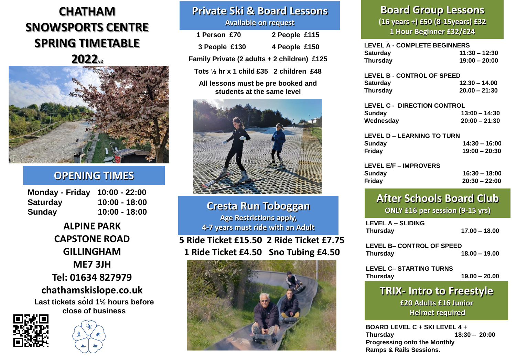# **CHATHAM SNOWSPORTS CENTRE SPRING TIMETABLE 2022v2**

## **OPENING TIMES**

| <b>Monday - Friday</b> | $10:00 - 22:00$ |
|------------------------|-----------------|
| Saturday               | 10:00 - 18:00   |
| Sunday                 | $10:00 - 18:00$ |

**Last tickets sold 1½ hours before close of business . chathamskislope.co.uk ALPINE PARK CAPSTONE ROAD GILLINGHAM ME7 3JH Tel: 01634 827979**





## **Private Ski & Board Lessons Available on request**

| 1 Person £70                                | 2 People £115 |
|---------------------------------------------|---------------|
| 3 People £130                               | 4 People £150 |
| Family Private (2 adults + 2 children) £125 |               |

**Tots ½ hr x 1 child £35 2 children £48**

**All lessons must be pre booked and students at the same level**



**Cresta Run Toboggan Age Restrictions apply, 4-7 years must ride with an Adult** 

**5 Ride Ticket £15.50 2 Ride Ticket £7.75 1 Ride Ticket £4.50 Sno Tubing £4.50**



## **Board Group Lessons (16 years +) £50 (8-15years) £32 1 Hour Beginner £32/£24**

| <b>LEVEL A - COMPLETE BEGINNERS</b><br><b>Saturday</b><br><b>Thursday</b> | $11:30 - 12:30$<br>$19:00 - 20:00$ |
|---------------------------------------------------------------------------|------------------------------------|
| <b>LEVEL B - CONTROL OF SPEED</b>                                         |                                    |
| <b>Saturday</b>                                                           | $12.30 - 14.00$                    |
| Thursday                                                                  | $20.00 - 21:30$                    |
| <b>LEVEL C - DIRECTION CONTROL</b>                                        |                                    |
| Sunday                                                                    | $13:00 - 14:30$                    |
| Wednesday                                                                 | $20:00 - 21:30$                    |
| <b>LEVEL D – LEARNING TO TURN</b>                                         |                                    |
| Sunday                                                                    | $14:30 - 16:00$                    |
| Friday                                                                    | 19:00 - 20:30                      |
| <b>LEVEL E/F - IMPROVERS</b>                                              |                                    |
| <b>Sunday</b>                                                             | 16:30 – 18:00                      |
| Fridav                                                                    |                                    |
|                                                                           | 20:30 – 22:00                      |

## **After Schools Board Club ONLY £16 per session (9-15 yrs)**

**LEVEL A – SLIDING Thursday 17.00 – 18.00**

**LEVEL B– CONTROL OF SPEED Thursday 18.00 – 19.00**

**LEVEL C– STARTING TURNS Thursday 19.00 – 20.00**

**TRIX- Intro to Freestyle £20 Adults £16 Junior Helmet required**

**BOARD LEVEL C + SKI LEVEL 4 + Thursday 18:30 – 20:00 Progressing onto the Monthly Ramps & Rails Sessions.**